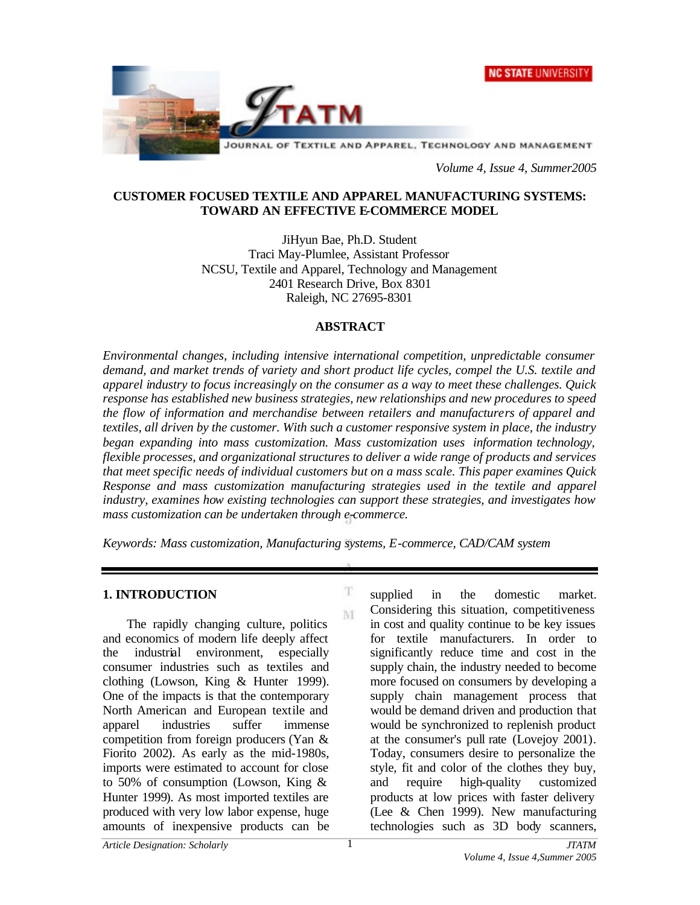



*Volume 4, Issue 4, Summer2005*

#### **CUSTOMER FOCUSED TEXTILE AND APPAREL MANUFACTURING SYSTEMS: TOWARD AN EFFECTIVE E-COMMERCE MODEL**

JiHyun Bae, Ph.D. Student Traci May-Plumlee, Assistant Professor NCSU, Textile and Apparel, Technology and Management 2401 Research Drive, Box 8301 Raleigh, NC 27695-8301

#### **ABSTRACT**

*Environmental changes, including intensive international competition, unpredictable consumer demand, and market trends of variety and short product life cycles, compel the U.S. textile and apparel industry to focus increasingly on the consumer as a way to meet these challenges. Quick response has established new business strategies, new relationships and new procedures to speed the flow of information and merchandise between retailers and manufacturers of apparel and textiles, all driven by the customer. With such a customer responsive system in place, the industry began expanding into mass customization. Mass customization uses information technology, flexible processes, and organizational structures to deliver a wide range of products and services that meet specific needs of individual customers but on a mass scale. This paper examines Quick Response and mass customization manufacturing strategies used in the textile and apparel industry, examines how existing technologies can support these strategies, and investigates how mass customization can be undertaken through e-commerce.* 

*Keywords: Mass customization, Manufacturing systems, E-commerce, CAD/CAM system*

T M

#### **1. INTRODUCTION**

The rapidly changing culture, politics and economics of modern life deeply affect the industrial environment, especially consumer industries such as textiles and clothing (Lowson, King & Hunter 1999). One of the impacts is that the contemporary North American and European textile and apparel industries suffer immense competition from foreign producers (Yan & Fiorito 2002). As early as the mid-1980s, imports were estimated to account for close to 50% of consumption (Lowson, King & Hunter 1999). As most imported textiles are produced with very low labor expense, huge amounts of inexpensive products can be

supplied in the domestic market. Considering this situation, competitiveness in cost and quality continue to be key issues for textile manufacturers. In order to significantly reduce time and cost in the supply chain, the industry needed to become more focused on consumers by developing a supply chain management process that would be demand driven and production that would be synchronized to replenish product at the consumer's pull rate (Lovejoy 2001). Today, consumers desire to personalize the style, fit and color of the clothes they buy, and require high-quality customized products at low prices with faster delivery (Lee & Chen 1999). New manufacturing technologies such as 3D body scanners,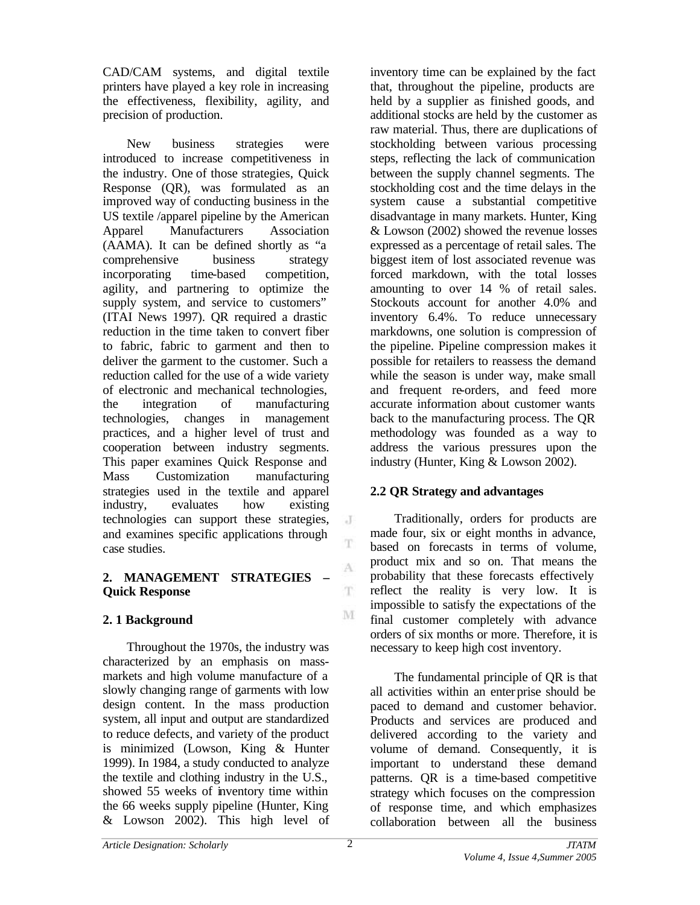CAD/CAM systems, and digital textile printers have played a key role in increasing the effectiveness, flexibility, agility, and precision of production.

New business strategies were introduced to increase competitiveness in the industry. One of those strategies, Quick Response (QR), was formulated as an improved way of conducting business in the US textile /apparel pipeline by the American Apparel Manufacturers Association (AAMA). It can be defined shortly as "a comprehensive business strategy incorporating time-based competition, agility, and partnering to optimize the supply system, and service to customers" (ITAI News 1997). QR required a drastic reduction in the time taken to convert fiber to fabric, fabric to garment and then to deliver the garment to the customer. Such a reduction called for the use of a wide variety of electronic and mechanical technologies, the integration of manufacturing technologies, changes in management practices, and a higher level of trust and cooperation between industry segments. This paper examines Quick Response and Mass Customization manufacturing strategies used in the textile and apparel industry, evaluates how existing technologies can support these strategies, and examines specific applications through case studies.

## **2. MANAGEMENT STRATEGIES – Quick Response**

# **2. 1 Background**

Throughout the 1970s, the industry was characterized by an emphasis on massmarkets and high volume manufacture of a slowly changing range of garments with low design content. In the mass production system, all input and output are standardized to reduce defects, and variety of the product is minimized (Lowson, King & Hunter 1999). In 1984, a study conducted to analyze the textile and clothing industry in the U.S., showed 55 weeks of inventory time within the 66 weeks supply pipeline (Hunter, King & Lowson 2002). This high level of

inventory time can be explained by the fact that, throughout the pipeline, products are held by a supplier as finished goods, and additional stocks are held by the customer as raw material. Thus, there are duplications of stockholding between various processing steps, reflecting the lack of communication between the supply channel segments. The stockholding cost and the time delays in the system cause a substantial competitive disadvantage in many markets. Hunter, King & Lowson (2002) showed the revenue losses expressed as a percentage of retail sales. The biggest item of lost associated revenue was forced markdown, with the total losses amounting to over 14 % of retail sales. Stockouts account for another 4.0% and inventory 6.4%. To reduce unnecessary markdowns, one solution is compression of the pipeline. Pipeline compression makes it possible for retailers to reassess the demand while the season is under way, make small and frequent re-orders, and feed more accurate information about customer wants back to the manufacturing process. The QR methodology was founded as a way to address the various pressures upon the industry (Hunter, King & Lowson 2002).

# **2.2 QR Strategy and advantages**

Traditionally, orders for products are made four, six or eight months in advance, based on forecasts in terms of volume, product mix and so on. That means the probability that these forecasts effectively reflect the reality is very low. It is impossible to satisfy the expectations of the final customer completely with advance orders of six months or more. Therefore, it is necessary to keep high cost inventory.

The fundamental principle of QR is that all activities within an enterprise should be paced to demand and customer behavior. Products and services are produced and delivered according to the variety and volume of demand. Consequently, it is important to understand these demand patterns. QR is a time-based competitive strategy which focuses on the compression of response time, and which emphasizes collaboration between all the business

J T

A

T.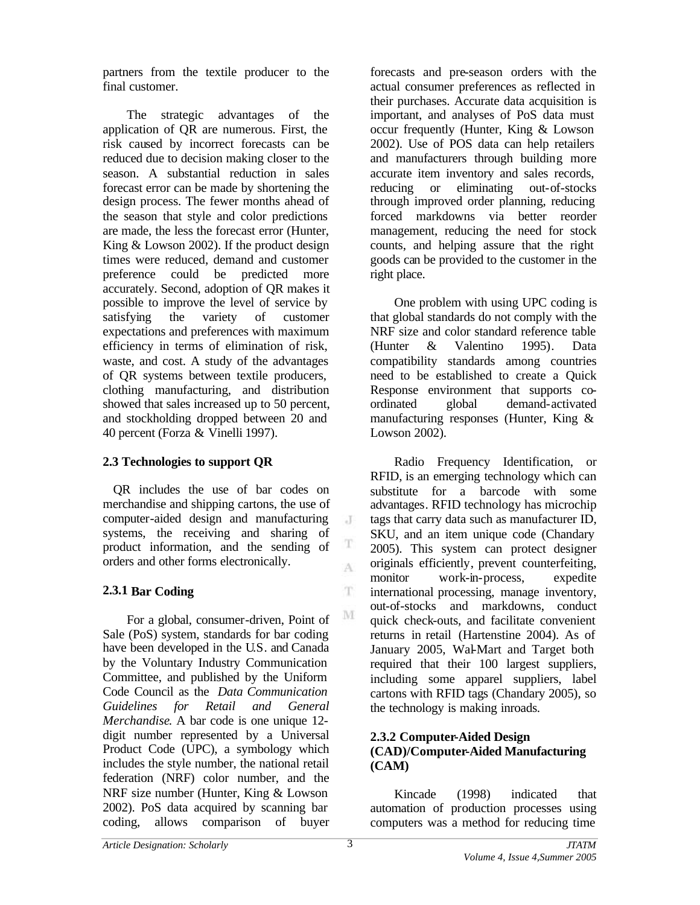partners from the textile producer to the final customer.

The strategic advantages of the application of QR are numerous. First, the risk caused by incorrect forecasts can be reduced due to decision making closer to the season. A substantial reduction in sales forecast error can be made by shortening the design process. The fewer months ahead of the season that style and color predictions are made, the less the forecast error (Hunter, King & Lowson 2002). If the product design times were reduced, demand and customer preference could be predicted more accurately. Second, adoption of QR makes it possible to improve the level of service by satisfying the variety of customer expectations and preferences with maximum efficiency in terms of elimination of risk, waste, and cost. A study of the advantages of QR systems between textile producers, clothing manufacturing, and distribution showed that sales increased up to 50 percent, and stockholding dropped between 20 and 40 percent (Forza & Vinelli 1997).

# **2.3 Technologies to support QR**

QR includes the use of bar codes on merchandise and shipping cartons, the use of computer-aided design and manufacturing systems, the receiving and sharing of product information, and the sending of orders and other forms electronically.

## **2.3.1 Bar Coding**

For a global, consumer-driven, Point of Sale (PoS) system, standards for bar coding have been developed in the U.S. and Canada by the Voluntary Industry Communication Committee, and published by the Uniform Code Council as the *Data Communication Guidelines for Retail and General Merchandise*. A bar code is one unique 12 digit number represented by a Universal Product Code (UPC), a symbology which includes the style number, the national retail federation (NRF) color number, and the NRF size number (Hunter, King & Lowson 2002). PoS data acquired by scanning bar coding, allows comparison of buyer

forecasts and pre-season orders with the actual consumer preferences as reflected in their purchases. Accurate data acquisition is important, and analyses of PoS data must occur frequently (Hunter, King & Lowson 2002). Use of POS data can help retailers and manufacturers through building more accurate item inventory and sales records, reducing or eliminating out-of-stocks through improved order planning, reducing forced markdowns via better reorder management, reducing the need for stock counts, and helping assure that the right goods can be provided to the customer in the right place.

One problem with using UPC coding is that global standards do not comply with the NRF size and color standard reference table (Hunter & Valentino 1995). Data compatibility standards among countries need to be established to create a Quick Response environment that supports coordinated global demand-activated manufacturing responses (Hunter, King & Lowson 2002).

Radio Frequency Identification, or RFID, is an emerging technology which can substitute for a barcode with some advantages. RFID technology has microchip tags that carry data such as manufacturer ID, SKU, and an item unique code (Chandary 2005). This system can protect designer originals efficiently, prevent counterfeiting, monitor work-in-process, expedite international processing, manage inventory, out-of-stocks and markdowns, conduct quick check-outs, and facilitate convenient returns in retail (Hartenstine 2004). As of January 2005, Wal-Mart and Target both required that their 100 largest suppliers, including some apparel suppliers, label cartons with RFID tags (Chandary 2005), so the technology is making inroads.

## **2.3.2 Computer-Aided Design (CAD)/Computer-Aided Manufacturing (CAM)**

Kincade (1998) indicated that automation of production processes using computers was a method for reducing time

 $\cdot$ T

T A

T

 $\mathbf{M}$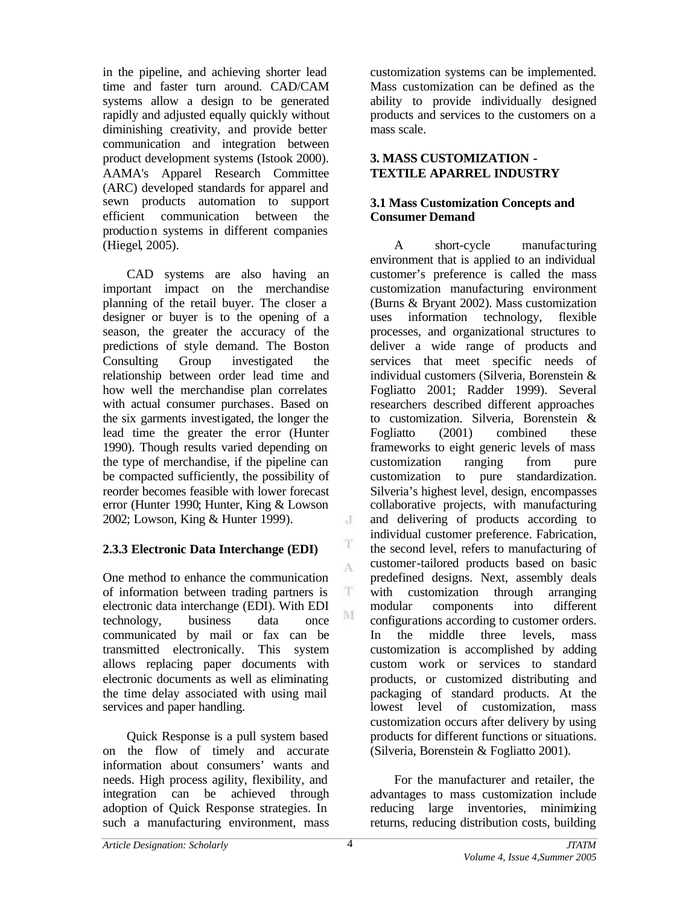in the pipeline, and achieving shorter lead time and faster turn around. CAD/CAM systems allow a design to be generated rapidly and adjusted equally quickly without diminishing creativity, and provide better communication and integration between product development systems (Istook 2000). AAMA's Apparel Research Committee (ARC) developed standards for apparel and sewn products automation to support efficient communication between the production systems in different companies (Hiegel, 2005).

CAD systems are also having an important impact on the merchandise planning of the retail buyer. The closer a designer or buyer is to the opening of a season, the greater the accuracy of the predictions of style demand. The Boston Consulting Group investigated the relationship between order lead time and how well the merchandise plan correlates with actual consumer purchases. Based on the six garments investigated, the longer the lead time the greater the error (Hunter 1990). Though results varied depending on the type of merchandise, if the pipeline can be compacted sufficiently, the possibility of reorder becomes feasible with lower forecast error (Hunter 1990; Hunter, King & Lowson 2002; Lowson, King & Hunter 1999).

## **2.3.3 Electronic Data Interchange (EDI)**

One method to enhance the communication of information between trading partners is electronic data interchange (EDI). With EDI technology, business data once communicated by mail or fax can be transmitted electronically. This system allows replacing paper documents with electronic documents as well as eliminating the time delay associated with using mail services and paper handling.

Quick Response is a pull system based on the flow of timely and accurate information about consumers' wants and needs. High process agility, flexibility, and integration can be achieved through adoption of Quick Response strategies. In such a manufacturing environment, mass

customization systems can be implemented. Mass customization can be defined as the ability to provide individually designed products and services to the customers on a mass scale.

#### **3. MASS CUSTOMIZATION - TEXTILE APARREL INDUSTRY**

#### **3.1 Mass Customization Concepts and Consumer Demand**

A short-cycle manufacturing environment that is applied to an individual customer's preference is called the mass customization manufacturing environment (Burns & Bryant 2002). Mass customization uses information technology, flexible processes, and organizational structures to deliver a wide range of products and services that meet specific needs of individual customers (Silveria, Borenstein & Fogliatto 2001; Radder 1999). Several researchers described different approaches to customization. Silveria, Borenstein & Fogliatto (2001) combined these frameworks to eight generic levels of mass customization ranging from pure customization to pure standardization. Silveria's highest level, design, encompasses collaborative projects, with manufacturing and delivering of products according to individual customer preference. Fabrication, the second level, refers to manufacturing of customer-tailored products based on basic predefined designs. Next, assembly deals with customization through arranging modular components into different configurations according to customer orders. In the middle three levels, mass customization is accomplished by adding custom work or services to standard products, or customized distributing and packaging of standard products. At the lowest level of customization, mass customization occurs after delivery by using products for different functions or situations. (Silveria, Borenstein & Fogliatto 2001).

For the manufacturer and retailer, the advantages to mass customization include reducing large inventories, minimizing returns, reducing distribution costs, building

 $\cdot$ 

T A

 $_{\rm T}$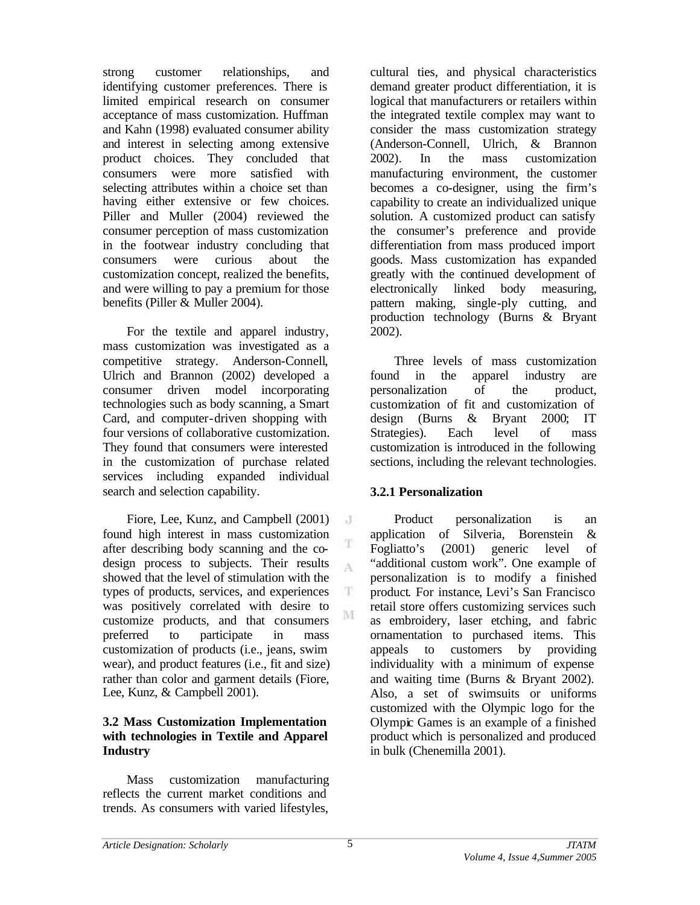strong customer relationships, and identifying customer preferences. There is limited empirical research on consumer acceptance of mass customization. Huffman and Kahn (1998) evaluated consumer ability and interest in selecting among extensive product choices. They concluded that consumers were more satisfied with selecting attributes within a choice set than having either extensive or few choices. Piller and Muller (2004) reviewed the consumer perception of mass customization in the footwear industry concluding that consumers were curious about the customization concept, realized the benefits, and were willing to pay a premium for those benefits (Piller & Muller 2004).

For the textile and apparel industry, mass customization was investigated as a competitive strategy. Anderson-Connell, Ulrich and Brannon (2002) developed a consumer driven model incorporating technologies such as body scanning, a Smart Card, and computer-driven shopping with four versions of collaborative customization. They found that consumers were interested in the customization of purchase related services including expanded individual search and selection capability.

Fiore, Lee, Kunz, and Campbell (2001) found high interest in mass customization after describing body scanning and the codesign process to subjects. Their results showed that the level of stimulation with the types of products, services, and experiences was positively correlated with desire to customize products, and that consumers preferred to participate in mass customization of products (i.e., jeans, swim wear), and product features (i.e., fit and size) rather than color and garment details (Fiore, Lee, Kunz, & Campbell 2001).

#### **3.2 Mass Customization Implementation with technologies in Textile and Apparel Industry**

Mass customization manufacturing reflects the current market conditions and trends. As consumers with varied lifestyles,

cultural ties, and physical characteristics demand greater product differentiation, it is logical that manufacturers or retailers within the integrated textile complex may want to consider the mass customization strategy (Anderson-Connell, Ulrich, & Brannon 2002). In the mass customization manufacturing environment, the customer becomes a co-designer, using the firm's capability to create an individualized unique solution. A customized product can satisfy the consumer's preference and provide differentiation from mass produced import goods. Mass customization has expanded greatly with the continued development of electronically linked body measuring, pattern making, single-ply cutting, and production technology (Burns & Bryant 2002).

Three levels of mass customization found in the apparel industry are personalization of the product, customization of fit and customization of design (Burns & Bryant 2000; IT Strategies). Each level of mass customization is introduced in the following sections, including the relevant technologies.

## **3.2.1 Personalization**

Product personalization is an application of Silveria, Borenstein & Fogliatto's (2001) generic level of "additional custom work". One example of personalization is to modify a finished product. For instance, Levi's San Francisco retail store offers customizing services such as embroidery, laser etching, and fabric ornamentation to purchased items. This appeals to customers by providing individuality with a minimum of expense and waiting time (Burns & Bryant 2002). Also, a set of swimsuits or uniforms customized with the Olympic logo for the Olympic Games is an example of a finished product which is personalized and produced in bulk (Chenemilla 2001).

 $\cdot$  J

T A

T. M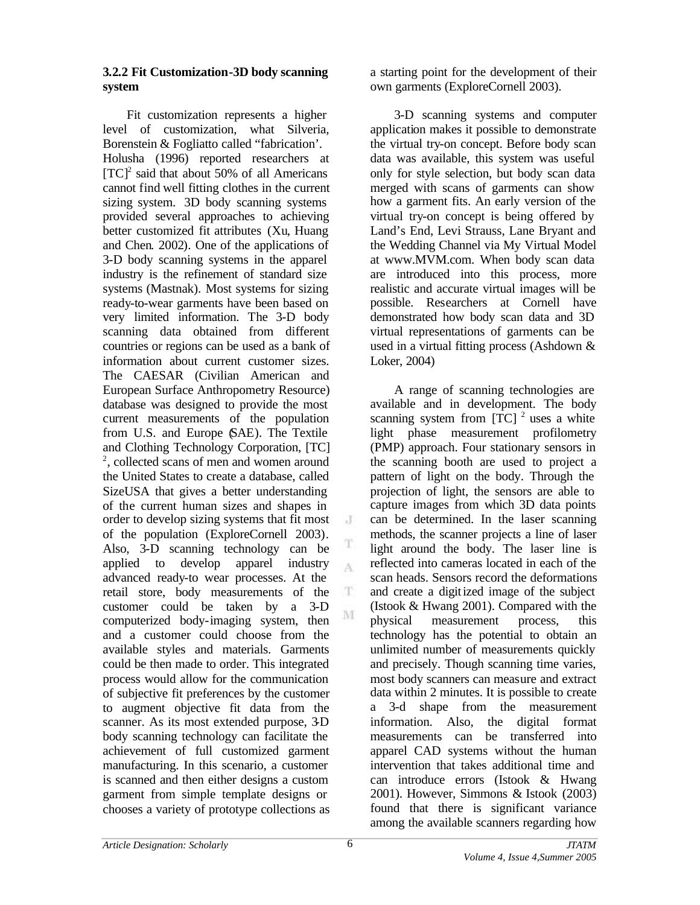#### **3.2.2 Fit Customization-3D body scanning system**

Fit customization represents a higher level of customization, what Silveria, Borenstein & Fogliatto called "fabrication'. Holusha (1996) reported researchers at  $[TC]^2$  said that about 50% of all Americans cannot find well fitting clothes in the current sizing system. 3D body scanning systems provided several approaches to achieving better customized fit attributes (Xu, Huang and Chen. 2002). One of the applications of 3-D body scanning systems in the apparel industry is the refinement of standard size systems (Mastnak). Most systems for sizing ready-to-wear garments have been based on very limited information. The 3-D body scanning data obtained from different countries or regions can be used as a bank of information about current customer sizes. The CAESAR (Civilian American and European Surface Anthropometry Resource) database was designed to provide the most current measurements of the population from U.S. and Europe (SAE). The Textile and Clothing Technology Corporation, [TC] 2 , collected scans of men and women around the United States to create a database, called SizeUSA that gives a better understanding of the current human sizes and shapes in order to develop sizing systems that fit most of the population (ExploreCornell 2003). Also, 3-D scanning technology can be applied to develop apparel industry advanced ready-to wear processes. At the retail store, body measurements of the customer could be taken by a 3-D computerized body-imaging system, then and a customer could choose from the available styles and materials. Garments could be then made to order. This integrated process would allow for the communication of subjective fit preferences by the customer to augment objective fit data from the scanner. As its most extended purpose, 3D body scanning technology can facilitate the achievement of full customized garment manufacturing. In this scenario, a customer is scanned and then either designs a custom garment from simple template designs or chooses a variety of prototype collections as

a starting point for the development of their own garments (ExploreCornell 2003).

3-D scanning systems and computer application makes it possible to demonstrate the virtual try-on concept. Before body scan data was available, this system was useful only for style selection, but body scan data merged with scans of garments can show how a garment fits. An early version of the virtual try-on concept is being offered by Land's End, Levi Strauss, Lane Bryant and the Wedding Channel via My Virtual Model at www.MVM.com. When body scan data are introduced into this process, more realistic and accurate virtual images will be possible. Researchers at Cornell have demonstrated how body scan data and 3D virtual representations of garments can be used in a virtual fitting process (Ashdown & Loker, 2004)

A range of scanning technologies are available and in development. The body scanning system from  $[TC]$ <sup>2</sup> uses a white light phase measurement profilometry (PMP) approach. Four stationary sensors in the scanning booth are used to project a pattern of light on the body. Through the projection of light, the sensors are able to capture images from which 3D data points can be determined. In the laser scanning methods, the scanner projects a line of laser light around the body. The laser line is reflected into cameras located in each of the scan heads. Sensors record the deformations and create a digitized image of the subject (Istook & Hwang 2001). Compared with the physical measurement process, this technology has the potential to obtain an unlimited number of measurements quickly and precisely. Though scanning time varies, most body scanners can measure and extract data within 2 minutes. It is possible to create a 3-d shape from the measurement information. Also, the digital format measurements can be transferred into apparel CAD systems without the human intervention that takes additional time and can introduce errors (Istook & Hwang 2001). However, Simmons & Istook (2003) found that there is significant variance among the available scanners regarding how

J

T A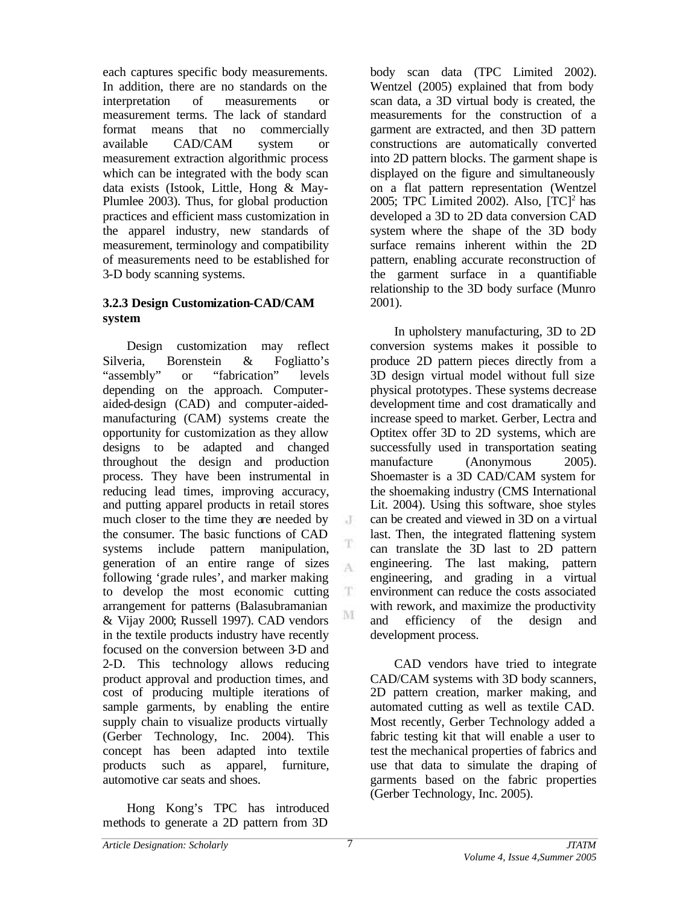each captures specific body measurements. In addition, there are no standards on the interpretation of measurements or measurement terms. The lack of standard format means that no commercially available CAD/CAM system or measurement extraction algorithmic process which can be integrated with the body scan data exists (Istook, Little, Hong & May-Plumlee 2003). Thus, for global production practices and efficient mass customization in the apparel industry, new standards of measurement, terminology and compatibility of measurements need to be established for 3-D body scanning systems.

#### **3.2.3 Design Customization-CAD/CAM system**

Design customization may reflect Silveria, Borenstein & Fogliatto's "assembly" or "fabrication" levels depending on the approach. Computeraided-design (CAD) and computer-aidedmanufacturing (CAM) systems create the opportunity for customization as they allow designs to be adapted and changed throughout the design and production process. They have been instrumental in reducing lead times, improving accuracy, and putting apparel products in retail stores much closer to the time they are needed by the consumer. The basic functions of CAD systems include pattern manipulation, generation of an entire range of sizes following 'grade rules', and marker making to develop the most economic cutting arrangement for patterns (Balasubramanian & Vijay 2000; Russell 1997). CAD vendors in the textile products industry have recently focused on the conversion between 3-D and 2-D. This technology allows reducing product approval and production times, and cost of producing multiple iterations of sample garments, by enabling the entire supply chain to visualize products virtually (Gerber Technology, Inc. 2004). This concept has been adapted into textile products such as apparel, furniture, automotive car seats and shoes.

Hong Kong's TPC has introduced methods to generate a 2D pattern from 3D

body scan data (TPC Limited 2002). Wentzel (2005) explained that from body scan data, a 3D virtual body is created, the measurements for the construction of a garment are extracted, and then 3D pattern constructions are automatically converted into 2D pattern blocks. The garment shape is displayed on the figure and simultaneously on a flat pattern representation (Wentzel 2005; TPC Limited 2002). Also,  $[TC]^2$  has developed a 3D to 2D data conversion CAD system where the shape of the 3D body surface remains inherent within the 2D pattern, enabling accurate reconstruction of the garment surface in a quantifiable relationship to the 3D body surface (Munro 2001).

In upholstery manufacturing, 3D to 2D conversion systems makes it possible to produce 2D pattern pieces directly from a 3D design virtual model without full size physical prototypes. These systems decrease development time and cost dramatically and increase speed to market. Gerber, Lectra and Optitex offer 3D to 2D systems, which are successfully used in transportation seating manufacture (Anonymous 2005). Shoemaster is a 3D CAD/CAM system for the shoemaking industry (CMS International Lit. 2004). Using this software, shoe styles can be created and viewed in 3D on a virtual last. Then, the integrated flattening system can translate the 3D last to 2D pattern engineering. The last making, pattern engineering, and grading in a virtual environment can reduce the costs associated with rework, and maximize the productivity and efficiency of the design and development process.

CAD vendors have tried to integrate CAD/CAM systems with 3D body scanners, 2D pattern creation, marker making, and automated cutting as well as textile CAD. Most recently, Gerber Technology added a fabric testing kit that will enable a user to test the mechanical properties of fabrics and use that data to simulate the draping of garments based on the fabric properties (Gerber Technology, Inc. 2005).

J

T  $\Lambda$ 

T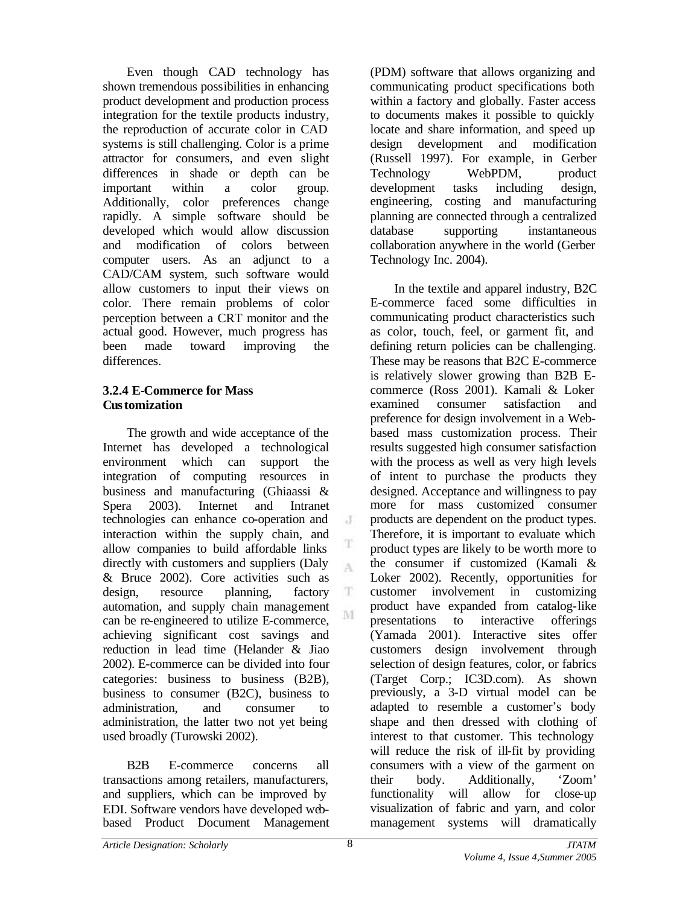Even though CAD technology has shown tremendous possibilities in enhancing product development and production process integration for the textile products industry, the reproduction of accurate color in CAD systems is still challenging. Color is a prime attractor for consumers, and even slight differences in shade or depth can be important within a color group. Additionally, color preferences change rapidly. A simple software should be developed which would allow discussion and modification of colors between computer users. As an adjunct to a CAD/CAM system, such software would allow customers to input their views on color. There remain problems of color perception between a CRT monitor and the actual good. However, much progress has been made toward improving the differences.

## **3.2.4 E-Commerce for Mass Customization**

The growth and wide acceptance of the Internet has developed a technological environment which can support the integration of computing resources in business and manufacturing (Ghiaassi & Spera 2003). Internet and Intranet technologies can enhance co-operation and interaction within the supply chain, and allow companies to build affordable links directly with customers and suppliers (Daly & Bruce 2002). Core activities such as design, resource planning, factory automation, and supply chain management can be re-engineered to utilize E-commerce, achieving significant cost savings and reduction in lead time (Helander & Jiao 2002). E-commerce can be divided into four categories: business to business (B2B), business to consumer (B2C), business to administration, and consumer to administration, the latter two not yet being used broadly (Turowski 2002).

B2B E-commerce concerns all transactions among retailers, manufacturers, and suppliers, which can be improved by EDI. Software vendors have developed webbased Product Document Management (PDM) software that allows organizing and communicating product specifications both within a factory and globally. Faster access to documents makes it possible to quickly locate and share information, and speed up design development and modification (Russell 1997). For example, in Gerber Technology WebPDM, product development tasks including design, engineering, costing and manufacturing planning are connected through a centralized database supporting instantaneous collaboration anywhere in the world (Gerber Technology Inc. 2004).

In the textile and apparel industry, B2C E-commerce faced some difficulties in communicating product characteristics such as color, touch, feel, or garment fit, and defining return policies can be challenging. These may be reasons that B2C E-commerce is relatively slower growing than B2B Ecommerce (Ross 2001). Kamali & Loker examined consumer satisfaction and preference for design involvement in a Webbased mass customization process. Their results suggested high consumer satisfaction with the process as well as very high levels of intent to purchase the products they designed. Acceptance and willingness to pay more for mass customized consumer products are dependent on the product types. Therefore, it is important to evaluate which product types are likely to be worth more to the consumer if customized (Kamali & Loker 2002). Recently, opportunities for customer involvement in customizing product have expanded from catalog-like presentations to interactive offerings (Yamada 2001). Interactive sites offer customers design involvement through selection of design features, color, or fabrics (Target Corp.; IC3D.com). As shown previously, a 3-D virtual model can be adapted to resemble a customer's body shape and then dressed with clothing of interest to that customer. This technology will reduce the risk of ill-fit by providing consumers with a view of the garment on their body. Additionally, 'Zoom' functionality will allow for close-up visualization of fabric and yarn, and color management systems will dramatically

J

T A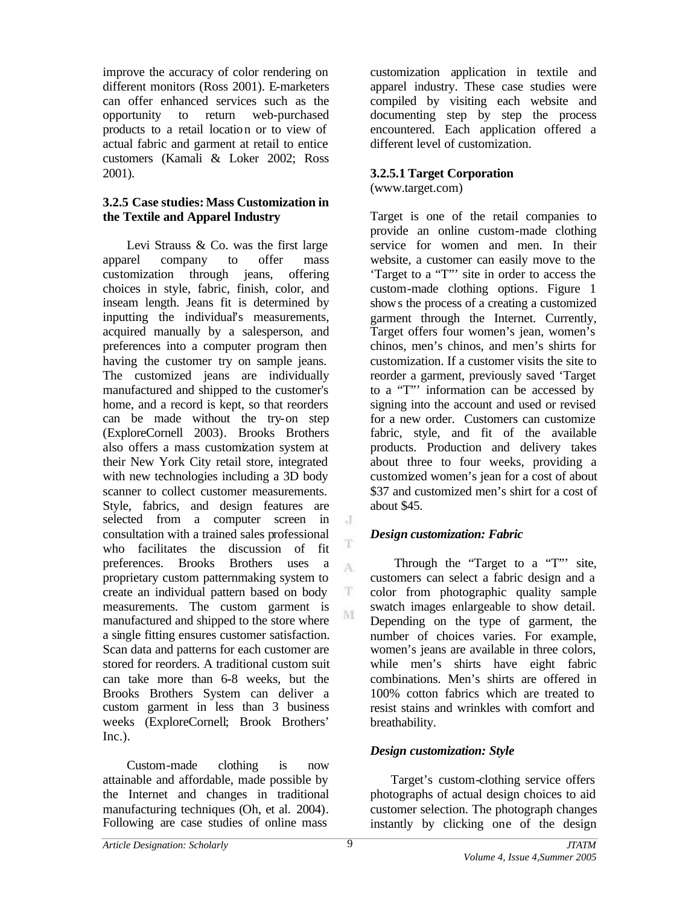improve the accuracy of color rendering on different monitors (Ross 2001). E-marketers can offer enhanced services such as the opportunity to return web-purchased products to a retail location or to view of actual fabric and garment at retail to entice customers (Kamali & Loker 2002; Ross 2001).

## **3.2.5 Case studies: Mass Customization in the Textile and Apparel Industry**

Levi Strauss & Co. was the first large apparel company to offer mass customization through jeans, offering choices in style, fabric, finish, color, and inseam length. Jeans fit is determined by inputting the individual's measurements, acquired manually by a salesperson, and preferences into a computer program then having the customer try on sample jeans. The customized jeans are individually manufactured and shipped to the customer's home, and a record is kept, so that reorders can be made without the try-on step (ExploreCornell 2003). Brooks Brothers also offers a mass customization system at their New York City retail store, integrated with new technologies including a 3D body scanner to collect customer measurements. Style, fabrics, and design features are selected from a computer screen in consultation with a trained sales professional who facilitates the discussion of fit preferences. Brooks Brothers uses a proprietary custom patternmaking system to create an individual pattern based on body measurements. The custom garment is manufactured and shipped to the store where a single fitting ensures customer satisfaction. Scan data and patterns for each customer are stored for reorders. A traditional custom suit can take more than 6-8 weeks, but the Brooks Brothers System can deliver a custom garment in less than 3 business weeks (ExploreCornell; Brook Brothers'  $Inc.$ ).

Custom-made clothing is now attainable and affordable, made possible by the Internet and changes in traditional manufacturing techniques (Oh, et al. 2004). Following are case studies of online mass

customization application in textile and apparel industry. These case studies were compiled by visiting each website and documenting step by step the process encountered. Each application offered a different level of customization.

## **3.2.5.1 Target Corporation**

(www.target.com)

Target is one of the retail companies to provide an online custom-made clothing service for women and men. In their website, a customer can easily move to the 'Target to a "T"' site in order to access the custom-made clothing options. Figure 1 shows the process of a creating a customized garment through the Internet. Currently, Target offers four women's jean, women's chinos, men's chinos, and men's shirts for customization. If a customer visits the site to reorder a garment, previously saved 'Target to a "T"' information can be accessed by signing into the account and used or revised for a new order. Customers can customize fabric, style, and fit of the available products. Production and delivery takes about three to four weeks, providing a customized women's jean for a cost of about \$37 and customized men's shirt for a cost of about \$45.

# *Design customization: Fabric*

Through the "Target to a "T" site, customers can select a fabric design and a color from photographic quality sample swatch images enlargeable to show detail. Depending on the type of garment, the number of choices varies. For example, women's jeans are available in three colors, while men's shirts have eight fabric combinations. Men's shirts are offered in 100% cotton fabrics which are treated to resist stains and wrinkles with comfort and breathability.

## *Design customization: Style*

Target's custom-clothing service offers photographs of actual design choices to aid customer selection. The photograph changes instantly by clicking one of the design

 $\cdot$ 

T

 $\Lambda$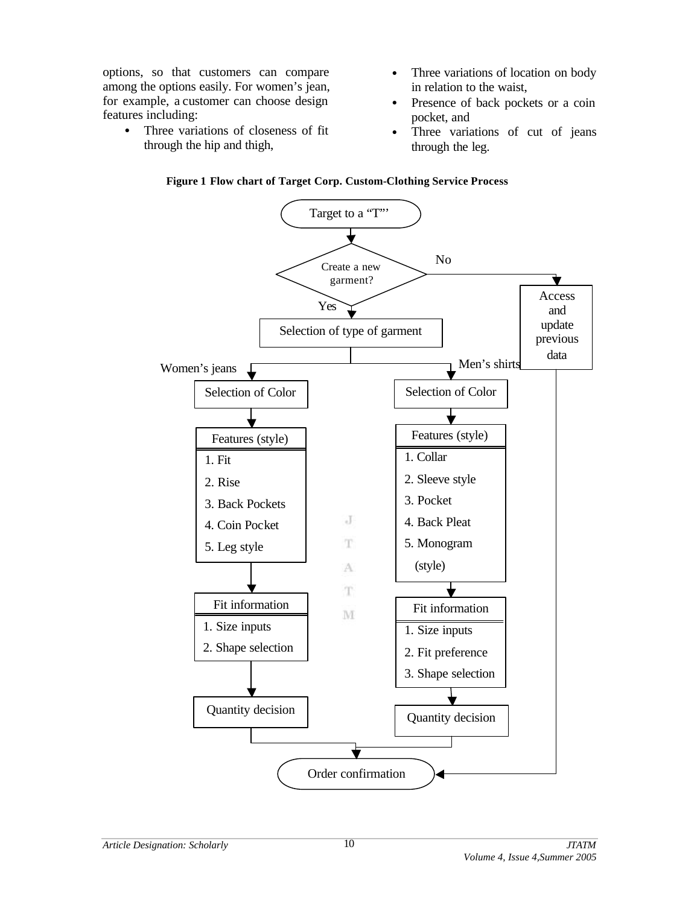options, so that customers can compare among the options easily. For women's jean, for example, a customer can choose design features including:

- Three variations of closeness of fit through the hip and thigh,
- Three variations of location on body in relation to the waist,
- Presence of back pockets or a coin pocket, and
- Three variations of cut of jeans through the leg.



#### **Figure 1 Flow chart of Target Corp. Custom-Clothing Service Process**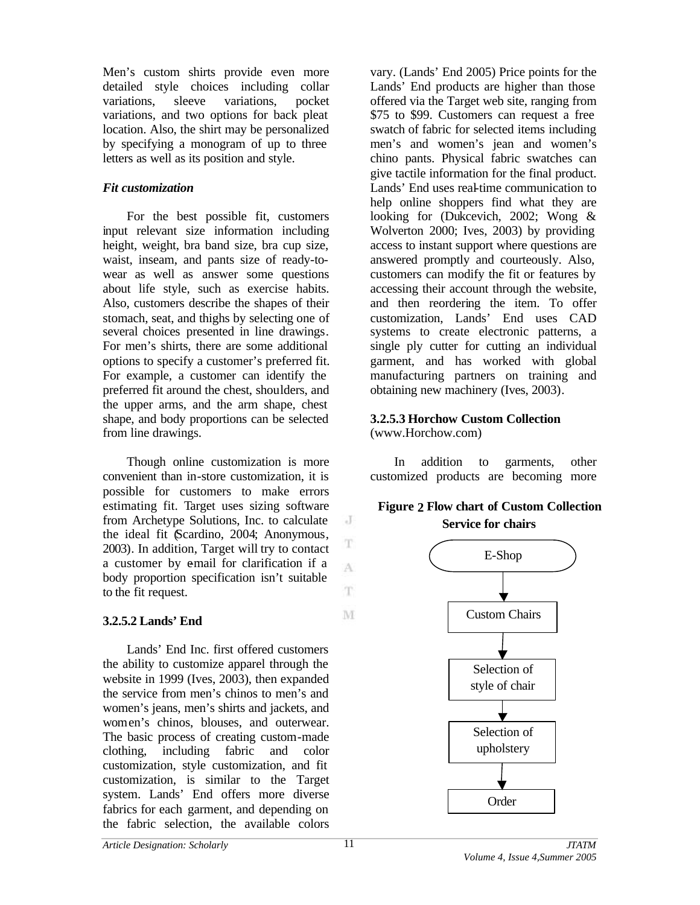Men's custom shirts provide even more detailed style choices including collar variations, sleeve variations, pocket variations, and two options for back pleat location. Also, the shirt may be personalized by specifying a monogram of up to three letters as well as its position and style.

## *Fit customization*

For the best possible fit, customers input relevant size information including height, weight, bra band size, bra cup size, waist, inseam, and pants size of ready-towear as well as answer some questions about life style, such as exercise habits. Also, customers describe the shapes of their stomach, seat, and thighs by selecting one of several choices presented in line drawings. For men's shirts, there are some additional options to specify a customer's preferred fit. For example, a customer can identify the preferred fit around the chest, shoulders, and the upper arms, and the arm shape, chest shape, and body proportions can be selected from line drawings.

Though online customization is more convenient than in-store customization, it is possible for customers to make errors estimating fit. Target uses sizing software from Archetype Solutions, Inc. to calculate the ideal fit (Scardino, 2004; Anonymous, 2003). In addition, Target will try to contact a customer by email for clarification if a body proportion specification isn't suitable to the fit request.

## **3.2.5.2 Lands' End**

Lands' End Inc. first offered customers the ability to customize apparel through the website in 1999 (Ives, 2003), then expanded the service from men's chinos to men's and women's jeans, men's shirts and jackets, and women's chinos, blouses, and outerwear. The basic process of creating custom-made clothing, including fabric and color customization, style customization, and fit customization, is similar to the Target system. Lands' End offers more diverse fabrics for each garment, and depending on the fabric selection, the available colors

vary. (Lands' End 2005) Price points for the Lands' End products are higher than those offered via the Target web site, ranging from \$75 to \$99. Customers can request a free swatch of fabric for selected items including men's and women's jean and women's chino pants. Physical fabric swatches can give tactile information for the final product. Lands' End uses real-time communication to help online shoppers find what they are looking for (Dukcevich, 2002; Wong & Wolverton 2000; Ives, 2003) by providing access to instant support where questions are answered promptly and courteously. Also, customers can modify the fit or features by accessing their account through the website, and then reordering the item. To offer customization, Lands' End uses CAD systems to create electronic patterns, a single ply cutter for cutting an individual garment, and has worked with global manufacturing partners on training and obtaining new machinery (Ives, 2003).

# **3.2.5.3 Horchow Custom Collection**

(www.Horchow.com)

In addition to garments, other customized products are becoming more

# **Figure 2 Flow chart of Custom Collection Service for chairs**



J

T A

T.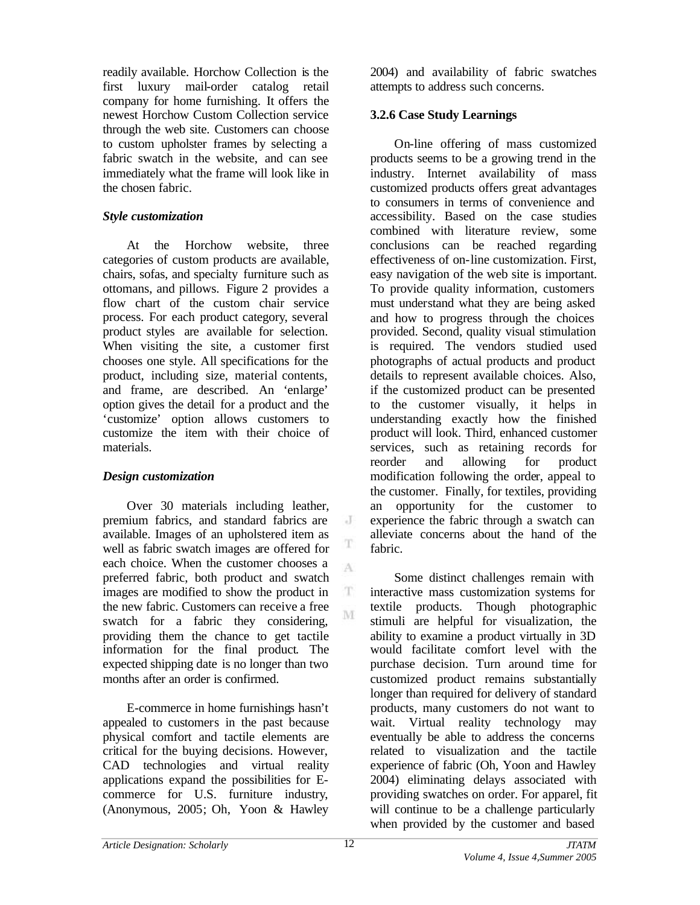readily available. Horchow Collection is the first luxury mail-order catalog retail company for home furnishing. It offers the newest Horchow Custom Collection service through the web site. Customers can choose to custom upholster frames by selecting a fabric swatch in the website, and can see immediately what the frame will look like in the chosen fabric.

## *Style customization*

At the Horchow website, three categories of custom products are available, chairs, sofas, and specialty furniture such as ottomans, and pillows. Figure 2 provides a flow chart of the custom chair service process. For each product category, several product styles are available for selection. When visiting the site, a customer first chooses one style. All specifications for the product, including size, material contents, and frame, are described. An 'enlarge' option gives the detail for a product and the 'customize' option allows customers to customize the item with their choice of materials.

# *Design customization*

Over 30 materials including leather, premium fabrics, and standard fabrics are available. Images of an upholstered item as well as fabric swatch images are offered for each choice. When the customer chooses a preferred fabric, both product and swatch images are modified to show the product in the new fabric. Customers can receive a free swatch for a fabric they considering, providing them the chance to get tactile information for the final product. The expected shipping date is no longer than two months after an order is confirmed.

E-commerce in home furnishings hasn't appealed to customers in the past because physical comfort and tactile elements are critical for the buying decisions. However, CAD technologies and virtual reality applications expand the possibilities for Ecommerce for U.S. furniture industry, (Anonymous, 2005; Oh, Yoon & Hawley

2004) and availability of fabric swatches attempts to address such concerns.

## **3.2.6 Case Study Learnings**

On-line offering of mass customized products seems to be a growing trend in the industry. Internet availability of mass customized products offers great advantages to consumers in terms of convenience and accessibility. Based on the case studies combined with literature review, some conclusions can be reached regarding effectiveness of on-line customization. First, easy navigation of the web site is important. To provide quality information, customers must understand what they are being asked and how to progress through the choices provided. Second, quality visual stimulation is required. The vendors studied used photographs of actual products and product details to represent available choices. Also, if the customized product can be presented to the customer visually, it helps in understanding exactly how the finished product will look. Third, enhanced customer services, such as retaining records for reorder and allowing for product modification following the order, appeal to the customer. Finally, for textiles, providing an opportunity for the customer to experience the fabric through a swatch can alleviate concerns about the hand of the fabric.

Some distinct challenges remain with interactive mass customization systems for textile products. Though photographic stimuli are helpful for visualization, the ability to examine a product virtually in 3D would facilitate comfort level with the purchase decision. Turn around time for customized product remains substantially longer than required for delivery of standard products, many customers do not want to wait. Virtual reality technology may eventually be able to address the concerns related to visualization and the tactile experience of fabric (Oh, Yoon and Hawley 2004) eliminating delays associated with providing swatches on order. For apparel, fit will continue to be a challenge particularly when provided by the customer and based

 $\cdot$ T

T A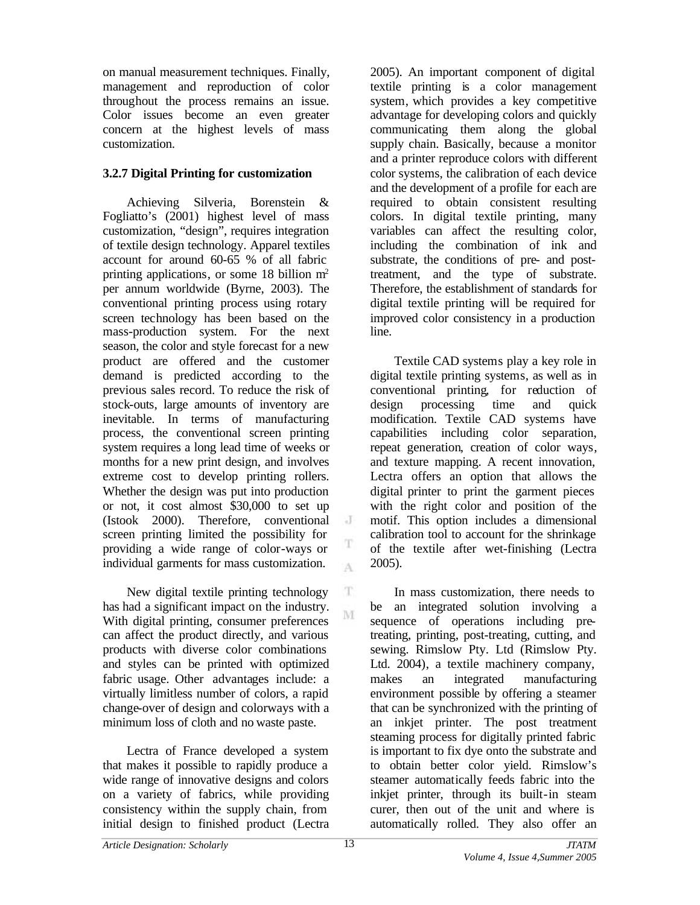on manual measurement techniques. Finally, management and reproduction of color throughout the process remains an issue. Color issues become an even greater concern at the highest levels of mass customization.

## **3.2.7 Digital Printing for customization**

Achieving Silveria, Borenstein & Fogliatto's (2001) highest level of mass customization, "design", requires integration of textile design technology. Apparel textiles account for around 60-65 % of all fabric printing applications, or some 18 billion  $m<sup>2</sup>$ per annum worldwide (Byrne, 2003). The conventional printing process using rotary screen technology has been based on the mass-production system. For the next season, the color and style forecast for a new product are offered and the customer demand is predicted according to the previous sales record. To reduce the risk of stock-outs, large amounts of inventory are inevitable. In terms of manufacturing process, the conventional screen printing system requires a long lead time of weeks or months for a new print design, and involves extreme cost to develop printing rollers. Whether the design was put into production or not, it cost almost \$30,000 to set up (Istook 2000). Therefore, conventional screen printing limited the possibility for providing a wide range of color-ways or individual garments for mass customization.

New digital textile printing technology has had a significant impact on the industry. With digital printing, consumer preferences can affect the product directly, and various products with diverse color combinations and styles can be printed with optimized fabric usage. Other advantages include: a virtually limitless number of colors, a rapid change-over of design and colorways with a minimum loss of cloth and no waste paste.

Lectra of France developed a system that makes it possible to rapidly produce a wide range of innovative designs and colors on a variety of fabrics, while providing consistency within the supply chain, from initial design to finished product (Lectra 2005). An important component of digital textile printing is a color management system, which provides a key competitive advantage for developing colors and quickly communicating them along the global supply chain. Basically, because a monitor and a printer reproduce colors with different color systems, the calibration of each device and the development of a profile for each are required to obtain consistent resulting colors. In digital textile printing, many variables can affect the resulting color, including the combination of ink and substrate, the conditions of pre- and posttreatment, and the type of substrate. Therefore, the establishment of standards for digital textile printing will be required for improved color consistency in a production line.

Textile CAD systems play a key role in digital textile printing systems, as well as in conventional printing, for reduction of design processing time and quick modification. Textile CAD systems have capabilities including color separation, repeat generation, creation of color ways, and texture mapping. A recent innovation, Lectra offers an option that allows the digital printer to print the garment pieces with the right color and position of the motif. This option includes a dimensional calibration tool to account for the shrinkage of the textile after wet-finishing (Lectra 2005).

In mass customization, there needs to be an integrated solution involving a sequence of operations including pretreating, printing, post-treating, cutting, and sewing. Rimslow Pty. Ltd (Rimslow Pty. Ltd. 2004), a textile machinery company, makes an integrated manufacturing environment possible by offering a steamer that can be synchronized with the printing of an inkjet printer. The post treatment steaming process for digitally printed fabric is important to fix dye onto the substrate and to obtain better color yield. Rimslow's steamer automatically feeds fabric into the inkjet printer, through its built-in steam curer, then out of the unit and where is automatically rolled. They also offer an

 $\cdot$  J

T  $\Lambda$ 

T. M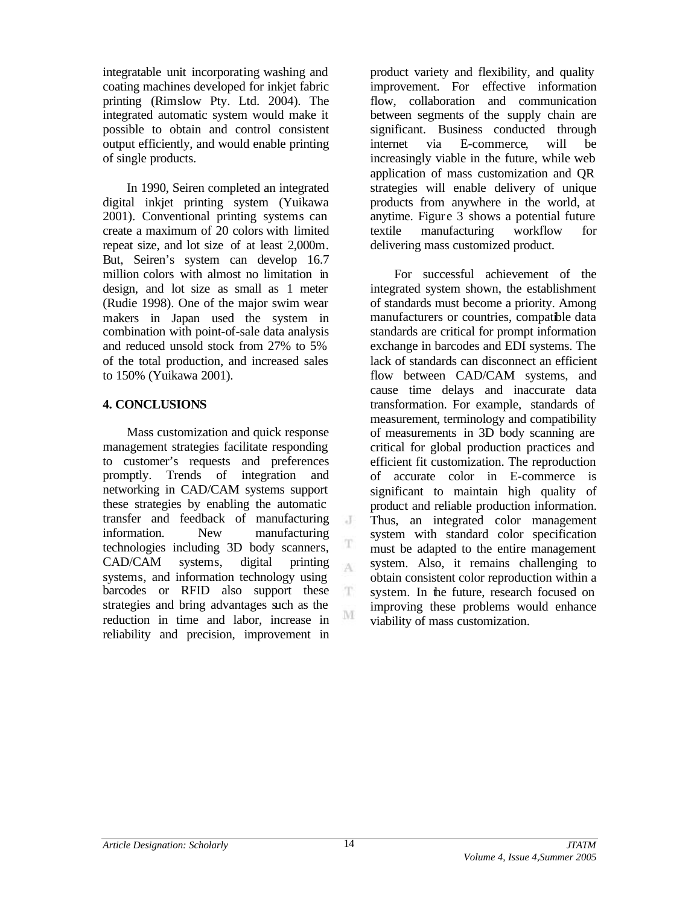integratable unit incorporating washing and coating machines developed for inkjet fabric printing (Rimslow Pty. Ltd. 2004). The integrated automatic system would make it possible to obtain and control consistent output efficiently, and would enable printing of single products.

In 1990, Seiren completed an integrated digital inkjet printing system (Yuikawa 2001). Conventional printing systems can create a maximum of 20 colors with limited repeat size, and lot size of at least 2,000m. But, Seiren's system can develop 16.7 million colors with almost no limitation in design, and lot size as small as 1 meter (Rudie 1998). One of the major swim wear makers in Japan used the system in combination with point-of-sale data analysis and reduced unsold stock from 27% to 5% of the total production, and increased sales to 150% (Yuikawa 2001).

## **4. CONCLUSIONS**

Mass customization and quick response management strategies facilitate responding to customer's requests and preferences promptly. Trends of integration and networking in CAD/CAM systems support these strategies by enabling the automatic transfer and feedback of manufacturing information. New manufacturing technologies including 3D body scanners, CAD/CAM systems, digital printing systems, and information technology using barcodes or RFID also support these strategies and bring advantages such as the reduction in time and labor, increase in reliability and precision, improvement in

product variety and flexibility, and quality improvement. For effective information flow, collaboration and communication between segments of the supply chain are significant. Business conducted through internet via E-commerce, will be increasingly viable in the future, while web application of mass customization and QR strategies will enable delivery of unique products from anywhere in the world, at anytime. Figure 3 shows a potential future textile manufacturing workflow for delivering mass customized product.

For successful achievement of the integrated system shown, the establishment of standards must become a priority. Among manufacturers or countries, compatible data standards are critical for prompt information exchange in barcodes and EDI systems. The lack of standards can disconnect an efficient flow between CAD/CAM systems, and cause time delays and inaccurate data transformation. For example, standards of measurement, terminology and compatibility of measurements in 3D body scanning are critical for global production practices and efficient fit customization. The reproduction of accurate color in E-commerce is significant to maintain high quality of product and reliable production information. Thus, an integrated color management system with standard color specification must be adapted to the entire management system. Also, it remains challenging to obtain consistent color reproduction within a system. In the future, research focused on improving these problems would enhance viability of mass customization.

 $\cdot$ T

T  $\Lambda$ 

T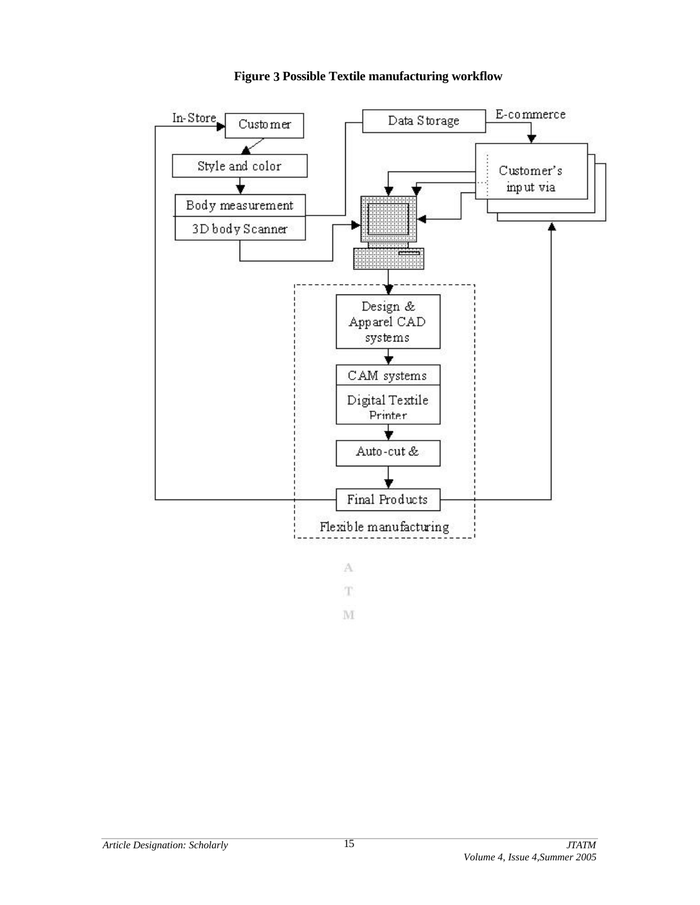

**Figure 3 Possible Textile manufacturing workflow**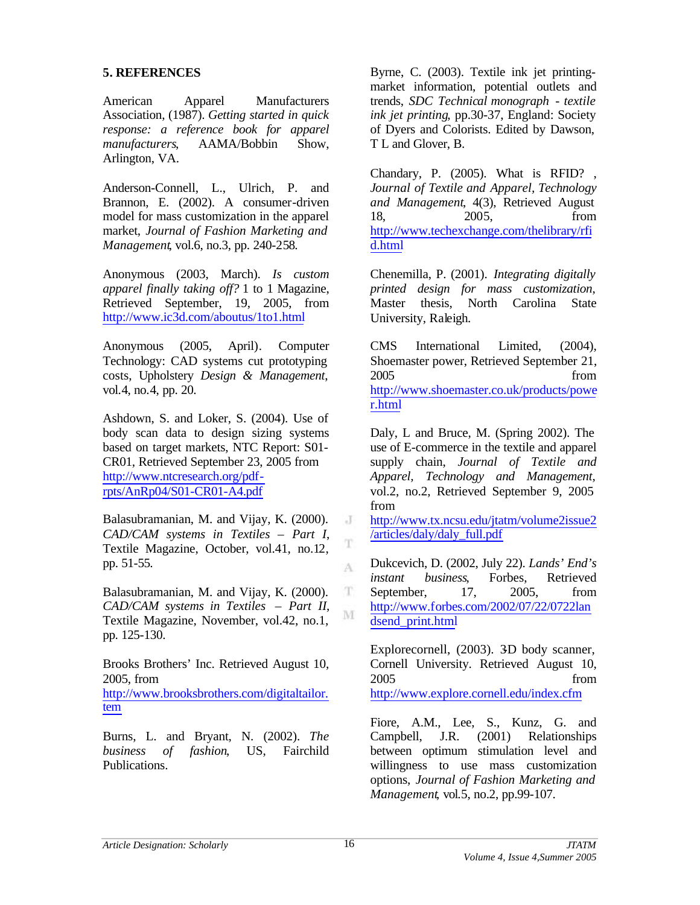#### **5. REFERENCES**

American Apparel Manufacturers Association, (1987). *Getting started in quick response: a reference book for apparel manufacturers*, AAMA/Bobbin Show, Arlington, VA.

Anderson-Connell, L., Ulrich, P. and Brannon, E. (2002). A consumer-driven model for mass customization in the apparel market, *Journal of Fashion Marketing and Management*, vol.6, no.3, pp. 240-258.

Anonymous (2003, March). *Is custom apparel finally taking off?* 1 to 1 Magazine, Retrieved September, 19, 2005, from http://www.ic3d.com/aboutus/1to1.html

Anonymous (2005, April). Computer Technology: CAD systems cut prototyping costs, Upholstery *Design & Management*, vol.4, no.4, pp. 20.

Ashdown, S. and Loker, S. (2004). Use of body scan data to design sizing systems based on target markets, NTC Report: S01- CR01, Retrieved September 23, 2005 from http://www.ntcresearch.org/pdfrpts/AnRp04/S01-CR01-A4.pdf

Balasubramanian, M. and Vijay, K. (2000). *CAD/CAM systems in Textiles – Part I*, Textile Magazine, October, vol.41, no.12, pp. 51-55.

Balasubramanian, M. and Vijay, K. (2000). *CAD/CAM systems in Textiles – Part II*, Textile Magazine, November, vol.42, no.1, pp. 125-130.

Brooks Brothers' Inc. Retrieved August 10, 2005, from

http://www.brooksbrothers.com/digitaltailor. tem

Burns, L. and Bryant, N. (2002). *The business of fashion*, US, Fairchild Publications.

Byrne, C. (2003). Textile ink jet printingmarket information, potential outlets and trends, *SDC Technical monograph - textile ink jet printing*, pp.30-37, England: Society of Dyers and Colorists. Edited by Dawson, T L and Glover, B.

Chandary, P. (2005). What is RFID? , *Journal of Textile and Apparel, Technology and Management*, 4(3), Retrieved August 18, 2005, from http://www.techexchange.com/thelibrary/rfi d.html

Chenemilla, P. (2001). *Integrating digitally printed design for mass customization*, Master thesis, North Carolina State University, Raleigh.

CMS International Limited, (2004), Shoemaster power, Retrieved September 21, 2005 from http://www.shoemaster.co.uk/products/powe r.html

Daly, L and Bruce, M. (Spring 2002). The use of E-commerce in the textile and apparel supply chain, *Journal of Textile and Apparel, Technology and Management*, vol.2, no.2, Retrieved September 9, 2005 from

http://www.tx.ncsu.edu/jtatm/volume2issue2 /articles/daly/daly\_full.pdf

Dukcevich, D. (2002, July 22). *Lands' End's instant business*, Forbes, Retrieved September, 17, 2005, from http://www.forbes.com/2002/07/22/0722lan dsend\_print.html

Explorecornell, (2003). 3D body scanner, Cornell University. Retrieved August 10, 2005 from http://www.explore.cornell.edu/index.cfm

Fiore, A.M., Lee, S., Kunz, G. and Campbell, J.R. (2001) Relationships between optimum stimulation level and willingness to use mass customization options, *Journal of Fashion Marketing and Management*, vol.5, no.2, pp.99-107.

J

T

A

 $\mathbf T$ M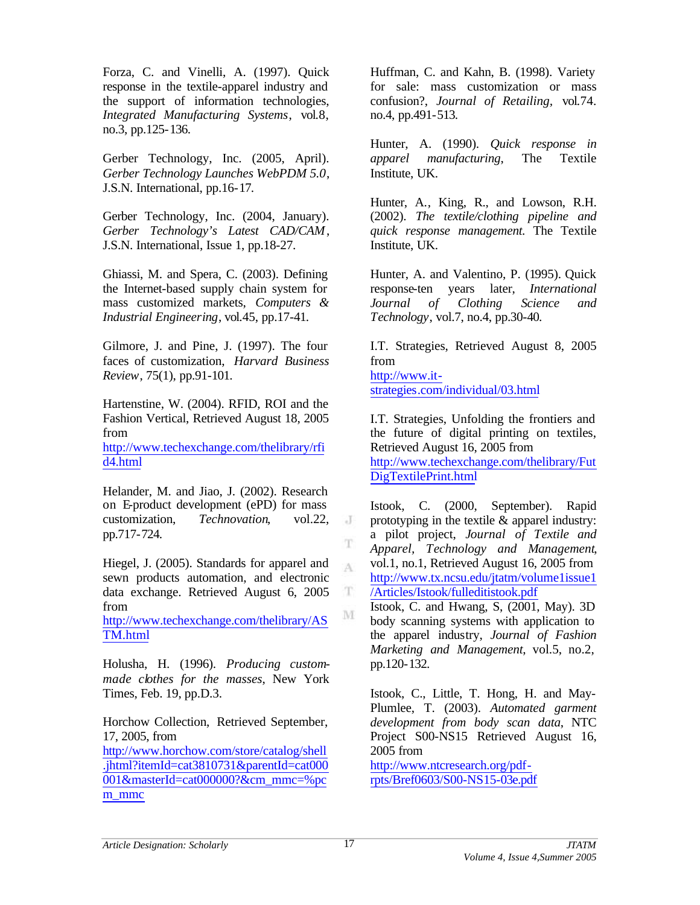Forza, C. and Vinelli, A. (1997). Quick response in the textile-apparel industry and the support of information technologies, *Integrated Manufacturing Systems*, vol.8, no.3, pp.125-136.

Gerber Technology, Inc. (2005, April). *Gerber Technology Launches WebPDM 5.0*, J.S.N. International, pp.16-17.

Gerber Technology, Inc. (2004, January). *Gerber Technology's Latest CAD/CAM*, J.S.N. International, Issue 1, pp.18-27.

Ghiassi, M. and Spera, C. (2003). Defining the Internet-based supply chain system for mass customized markets, *Computers & Industrial Engineering*, vol.45, pp.17-41.

Gilmore, J. and Pine, J. (1997). The four faces of customization, *Harvard Business Review*, 75(1), pp.91-101.

Hartenstine, W. (2004). RFID, ROI and the Fashion Vertical, Retrieved August 18, 2005 from http://www.techexchange.com/thelibrary/rfi d4.html

Helander, M. and Jiao, J. (2002). Research on E-product development (ePD) for mass customization, *Technovation*, vol.22, pp.717-724.

Hiegel, J. (2005). Standards for apparel and sewn products automation, and electronic data exchange. Retrieved August 6, 2005 from

http://www.techexchange.com/thelibrary/AS TM.html

Holusha, H. (1996). *Producing custommade clothes for the masses*, New York Times, Feb. 19, pp.D.3.

Horchow Collection, Retrieved September, 17, 2005, from http://www.horchow.com/store/catalog/shell .jhtml?itemId=cat3810731&parentId=cat000 001&masterId=cat000000?&cm\_mmc=%pc m\_mmc

Huffman, C. and Kahn, B. (1998). Variety for sale: mass customization or mass confusion?, *Journal of Retailing,* vol.74. no.4, pp.491-513.

Hunter, A. (1990). *Quick response in apparel manufacturing*, The Textile Institute, UK.

Hunter, A., King, R., and Lowson, R.H. (2002). *The textile/clothing pipeline and quick response management.* The Textile Institute, UK.

Hunter, A. and Valentino, P. (1995). Quick response-ten years later, *International Journal of Clothing Science and Technology*, vol.7, no.4, pp.30-40.

I.T. Strategies, Retrieved August 8, 2005 from http://www.itstrategies.com/individual/03.html

I.T. Strategies, Unfolding the frontiers and the future of digital printing on textiles, Retrieved August 16, 2005 from http://www.techexchange.com/thelibrary/Fut DigTextilePrint.html

Istook, C. (2000, September). Rapid prototyping in the textile & apparel industry: a pilot project, *Journal of Textile and Apparel, Technology and Management*, vol.1, no.1, Retrieved August 16, 2005 from http://www.tx.ncsu.edu/jtatm/volume1issue1 /Articles/Istook/fulleditistook.pdf

Istook, C. and Hwang, S.  $(2001, \text{May})$ . 3D body scanning systems with application to the apparel industry, *Journal of Fashion Marketing and Management*, vol.5, no.2, pp.120-132.

Istook, C., Little, T. Hong, H. and May-Plumlee, T. (2003). *Automated garment development from body scan data*, NTC Project S00-NS15 Retrieved August 16, 2005 from

http://www.ntcresearch.org/pdfrpts/Bref0603/S00-NS15-03e.pdf

J

T

A

 $\mathbf T$ M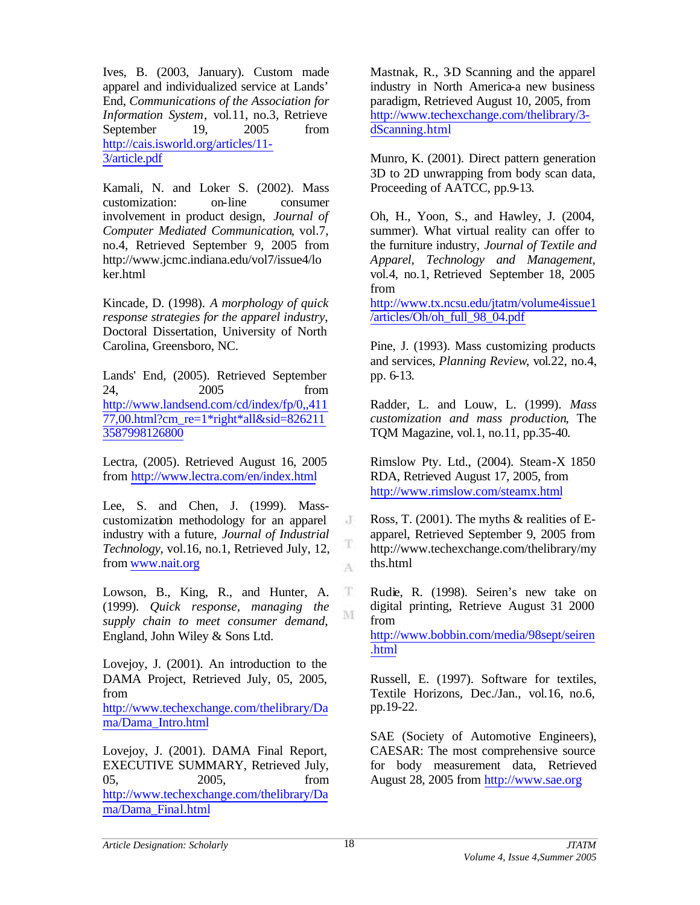Ives, B. (2003, January). Custom made apparel and individualized service at Lands' End, *Communications of the Association for Information System*, vol.11, no.3, Retrieve September 19, 2005 from http://cais.isworld.org/articles/11- 3/article.pdf

Kamali, N. and Loker S. (2002). Mass customization: on-line consumer involvement in product design, *Journal of Computer Mediated Communication*, vol.7, no.4, Retrieved September 9, 2005 from http://www.jcmc.indiana.edu/vol7/issue4/lo ker.html

Kincade, D. (1998). *A morphology of quick response strategies for the apparel industry*, Doctoral Dissertation, University of North Carolina, Greensboro, NC.

Lands' End, (2005). Retrieved September 24, 2005 from http://www.landsend.com/cd/index/fp/0,,411 77,00.html?cm\_re=1\*right\*all&sid=826211 3587998126800

Lectra, (2005). Retrieved August 16, 2005 from http://www.lectra.com/en/index.html

Lee, S. and Chen, J. (1999). Masscustomization methodology for an apparel industry with a future, *Journal of Industrial Technology*, vol.16, no.1, Retrieved July, 12, from www.nait.org

Lowson, B., King, R., and Hunter, A. (1999). *Quick response, managing the supply chain to meet consumer demand*, England, John Wiley & Sons Ltd.

Lovejoy, J. (2001). An introduction to the DAMA Project, Retrieved July, 05, 2005, from http://www.techexchange.com/thelibrary/Da

ma/Dama\_Intro.html

Lovejoy, J. (2001). DAMA Final Report, EXECUTIVE SUMMARY, Retrieved July, 05, 2005, from http://www.techexchange.com/thelibrary/Da ma/Dama\_Final.html

Mastnak, R., 3D Scanning and the apparel industry in North America-a new business paradigm, Retrieved August 10, 2005, from http://www.techexchange.com/thelibrary/3 dScanning.html

Munro, K. (2001). Direct pattern generation 3D to 2D unwrapping from body scan data, Proceeding of AATCC, pp.9-13.

Oh, H., Yoon, S., and Hawley, J. (2004, summer). What virtual reality can offer to the furniture industry, *Journal of Textile and Apparel, Technology and Management*, vol.4, no.1, Retrieved September 18, 2005 from

http://www.tx.ncsu.edu/jtatm/volume4issue1 /articles/Oh/oh\_full\_98\_04.pdf

Pine, J. (1993). Mass customizing products and services, *Planning Review*, vol.22, no.4, pp. 6-13.

Radder, L. and Louw, L. (1999). *Mass customization and mass production*, The TQM Magazine, vol.1, no.11, pp.35-40.

Rimslow Pty. Ltd., (2004). Steam-X 1850 RDA, Retrieved August 17, 2005, from http://www.rimslow.com/steamx.html

Ross, T. (2001). The myths & realities of Eapparel, Retrieved September 9, 2005 from http://www.techexchange.com/thelibrary/my ths.html

Rudie, R. (1998). Seiren's new take on digital printing, Retrieve August 31 2000 from

http://www.bobbin.com/media/98sept/seiren .html

Russell, E. (1997). Software for textiles, Textile Horizons, Dec./Jan., vol.16, no.6, pp.19-22.

SAE (Society of Automotive Engineers), CAESAR: The most comprehensive source for body measurement data, Retrieved August 28, 2005 from http://www.sae.org

J

T A